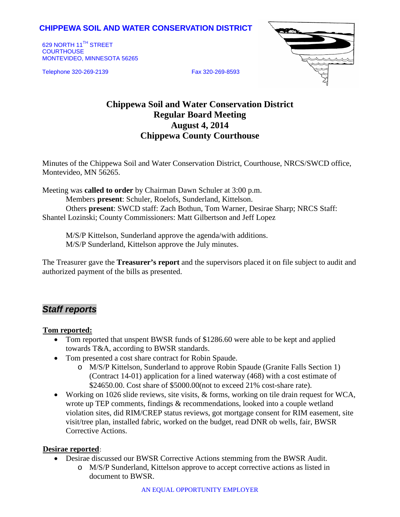## **CHIPPEWA SOIL AND WATER CONSERVATION DISTRICT**

629 NORTH 11<sup>TH</sup> STREET **COURTHOUSE** MONTEVIDEO, MINNESOTA 56265

Telephone 320-269-2139 Fax 320-269-8593



# **Chippewa Soil and Water Conservation District Regular Board Meeting August 4, 2014 Chippewa County Courthouse**

Minutes of the Chippewa Soil and Water Conservation District, Courthouse, NRCS/SWCD office, Montevideo, MN 56265.

Meeting was **called to order** by Chairman Dawn Schuler at 3:00 p.m. Members **present**: Schuler, Roelofs, Sunderland, Kittelson. Others **present**: SWCD staff: Zach Bothun, Tom Warner, Desirae Sharp; NRCS Staff: Shantel Lozinski; County Commissioners: Matt Gilbertson and Jeff Lopez

M/S/P Kittelson, Sunderland approve the agenda/with additions. M/S/P Sunderland, Kittelson approve the July minutes.

The Treasurer gave the **Treasurer's report** and the supervisors placed it on file subject to audit and authorized payment of the bills as presented.

# *Staff reports*

#### **Tom reported:**

- Tom reported that unspent BWSR funds of \$1286.60 were able to be kept and applied towards T&A, according to BWSR standards.
- Tom presented a cost share contract for Robin Spaude.
	- o M/S/P Kittelson, Sunderland to approve Robin Spaude (Granite Falls Section 1) (Contract 14-01) application for a lined waterway (468) with a cost estimate of \$24650.00. Cost share of \$5000.00(not to exceed 21% cost-share rate).
- Working on 1026 slide reviews, site visits, & forms, working on tile drain request for WCA, wrote up TEP comments, findings & recommendations, looked into a couple wetland violation sites, did RIM/CREP status reviews, got mortgage consent for RIM easement, site visit/tree plan, installed fabric, worked on the budget, read DNR ob wells, fair, BWSR Corrective Actions.

### **Desirae reported**:

- Desirae discussed our BWSR Corrective Actions stemming from the BWSR Audit.
	- o M/S/P Sunderland, Kittelson approve to accept corrective actions as listed in document to BWSR.